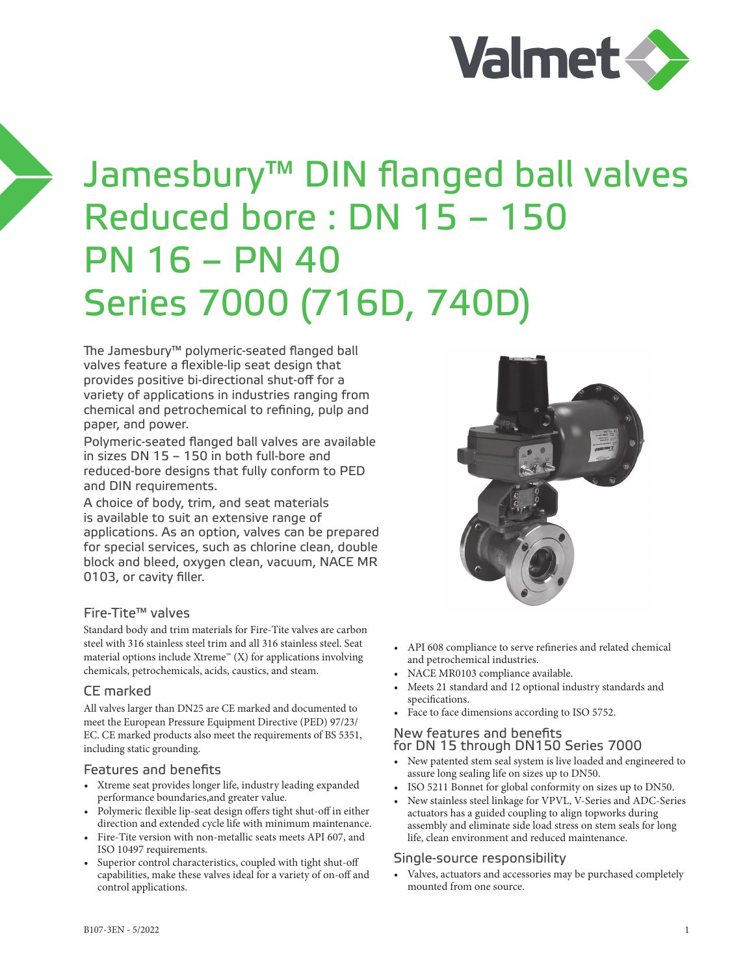

# Jamesbury™ DIN flanged ball valves Reduced bore : DN 15 – 150 PN 16 – PN 40 Series 7000 (716D, 740D)

The Jamesbury™ polymeric-seated flanged ball valves feature a flexible-lip seat design that provides positive bi-directional shut-off for a variety of applications in industries ranging from chemical and petrochemical to refining, pulp and paper, and power.

Polymeric-seated flanged ball valves are available in sizes DN 15 – 150 in both full-bore and reduced-bore designs that fully conform to PED and DIN requirements.

A choice of body, trim, and seat materials is available to suit an extensive range of applications. As an option, valves can be prepared for special services, such as chlorine clean, double block and bleed, oxygen clean, vacuum, NACE MR 0103, or cavity filler.

### Fire-Tite™ valves

Standard body and trim materials for Fire-Tite valves are carbon steel with 316 stainless steel trim and all 316 stainless steel. Seat material options include Xtreme<sup>™</sup> (X) for applications involving chemicals, petrochemicals, acids, caustics, and steam.

### CE marked

All valves larger than DN25 are CE marked and documented to meet the European Pressure Equipment Directive (PED) 97/23/ EC. CE marked products also meet the requirements of BS 5351, including static grounding.

#### Features and benefits

- Xtreme seat provides longer life, industry leading expanded performance boundaries,and greater value.
- Polymeric flexible lip-seat design offers tight shut-off in either direction and extended cycle life with minimum maintenance.
- Fire-Tite version with non-metallic seats meets API 607, and ISO 10497 requirements.
- Superior control characteristics, coupled with tight shut-off capabilities, make these valves ideal for a variety of on-off and control applications.



- API 608 compliance to serve refineries and related chemical and petrochemical industries.
- NACE MR0103 compliance available.
- Meets 21 standard and 12 optional industry standards and specifications.
- Face to face dimensions according to ISO 5752.

### New features and benefits for DN 15 through DN150 Series 7000

- New patented stem seal system is live loaded and engineered to assure long sealing life on sizes up to DN50.
- ISO 5211 Bonnet for global conformity on sizes up to DN50.
- New stainless steel linkage for VPVL, V-Series and ADC-Series actuators has a guided coupling to align topworks during assembly and eliminate side load stress on stem seals for long life, clean environment and reduced maintenance.

### Single-source responsibility

• Valves, actuators and accessories may be purchased completely mounted from one source.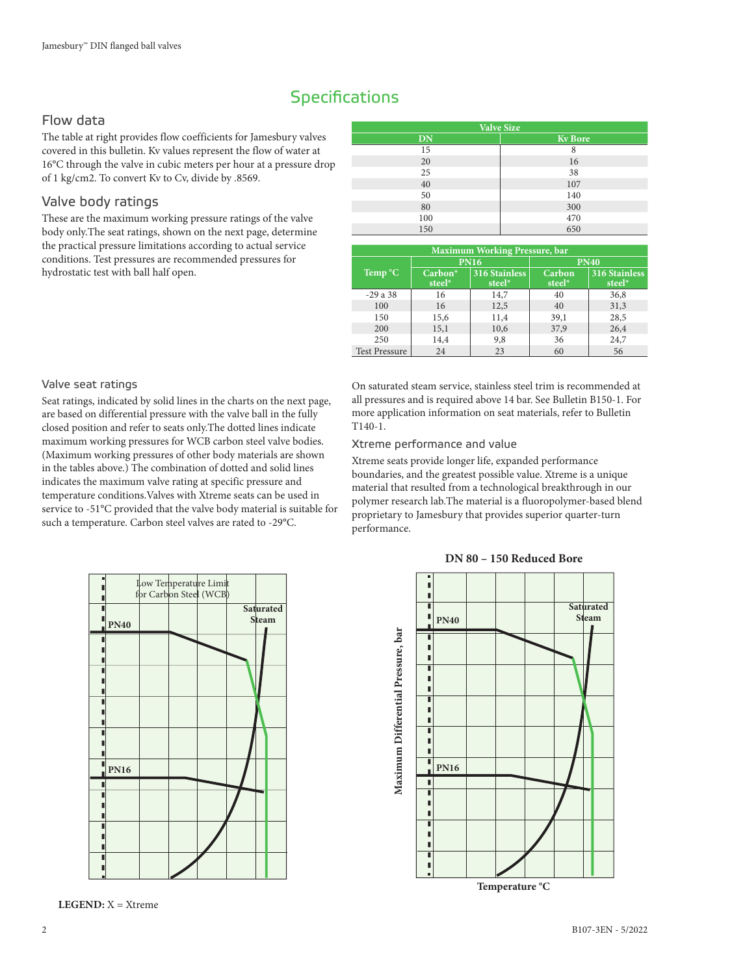## **Specifications**

## Flow data

The table at right provides flow coefficients for Jamesbury valves covered in this bulletin. Kv values represent the flow of water at 16°C through the valve in cubic meters per hour at a pressure drop of 1 kg/cm2. To convert Kv to Cv, divide by .8569.

## Valve body ratings

These are the maximum working pressure ratings of the valve body only.The seat ratings, shown on the next page, determine the practical pressure limitations according to actual service conditions. Test pressures are recommended pressures for hydrostatic test with ball half open.

| <b>Valve Size</b> |                |  |  |  |  |  |  |  |  |
|-------------------|----------------|--|--|--|--|--|--|--|--|
| <b>DN</b>         | <b>Kv</b> Bore |  |  |  |  |  |  |  |  |
| 15                | 8              |  |  |  |  |  |  |  |  |
| 20                | 16             |  |  |  |  |  |  |  |  |
| 25                | 38             |  |  |  |  |  |  |  |  |
| 40                | 107            |  |  |  |  |  |  |  |  |
| 50                | 140            |  |  |  |  |  |  |  |  |
| 80                | 300            |  |  |  |  |  |  |  |  |
| 100               | 470            |  |  |  |  |  |  |  |  |
| 150               | 650            |  |  |  |  |  |  |  |  |

| <b>Maximum Working Pressure, bar</b> |                               |                                |                  |                                |  |  |  |  |
|--------------------------------------|-------------------------------|--------------------------------|------------------|--------------------------------|--|--|--|--|
|                                      |                               | <b>PN16</b>                    |                  | <b>PN40</b>                    |  |  |  |  |
| Temp °C                              | Carbon <sup>*</sup><br>steel* | <b>316 Stainless</b><br>steel* | Carbon<br>steel* | <b>316 Stainless</b><br>steel* |  |  |  |  |
| $-29a38$                             | 16                            | 14,7                           | 40               | 36,8                           |  |  |  |  |
| 100                                  | 16                            | 12,5                           | 40               | 31,3                           |  |  |  |  |
| 150                                  | 15,6                          | 11,4                           | 39,1             | 28,5                           |  |  |  |  |
| 200                                  | 15,1                          | 10,6                           | 37,9             | 26,4                           |  |  |  |  |
| 250                                  | 14,4                          | 9,8                            | 36               | 24,7                           |  |  |  |  |
| <b>Test Pressure</b>                 | 24                            | 23                             | 60               | 56                             |  |  |  |  |

#### Valve seat ratings

Seat ratings, indicated by solid lines in the charts on the next page, are based on differential pressure with the valve ball in the fully closed position and refer to seats only.The dotted lines indicate maximum working pressures for WCB carbon steel valve bodies. (Maximum working pressures of other body materials are shown in the tables above.) The combination of dotted and solid lines indicates the maximum valve rating at specific pressure and temperature conditions.Valves with Xtreme seats can be used in service to -51°C provided that the valve body material is suitable for such a temperature. Carbon steel valves are rated to -29°C.

On saturated steam service, stainless steel trim is recommended at all pressures and is required above 14 bar. See Bulletin B150-1. For more application information on seat materials, refer to Bulletin T140-1.

#### Xtreme performance and value

Xtreme seats provide longer life, expanded performance boundaries, and the greatest possible value. Xtreme is a unique material that resulted from a technological breakthrough in our polymer research lab.The material is a fluoropolymer-based blend proprietary to Jamesbury that provides superior quarter-turn performance.



**LEGEND:** X = Xtreme **LEGEND:** X = Xtreme



#### **DN 80 – 150 Reduced Bore**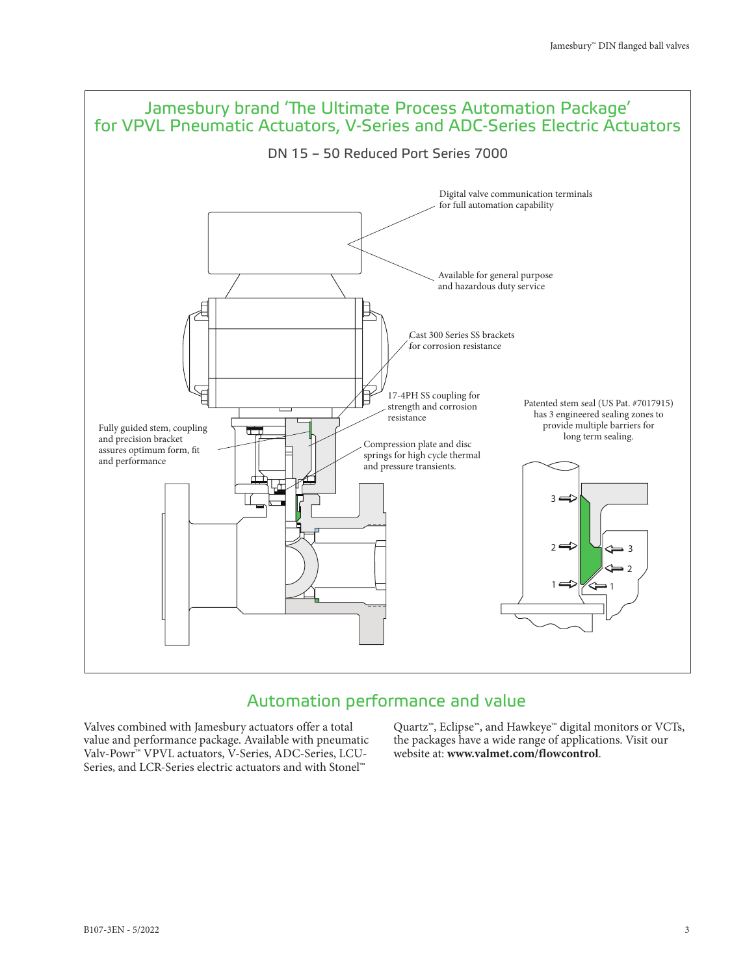

## Automation performance and value

Valves combined with Jamesbury actuators offer a total value and performance package. Available with pneumatic Valv-Powr™ VPVL actuators, V-Series, ADC-Series, LCU-Series, and LCR-Series electric actuators and with Stonel™

Quartz™, Eclipse™, and Hawkeye™ digital monitors or VCTs, the packages have a wide range of applications. Visit our website at: **www.valmet.com/flowcontrol**.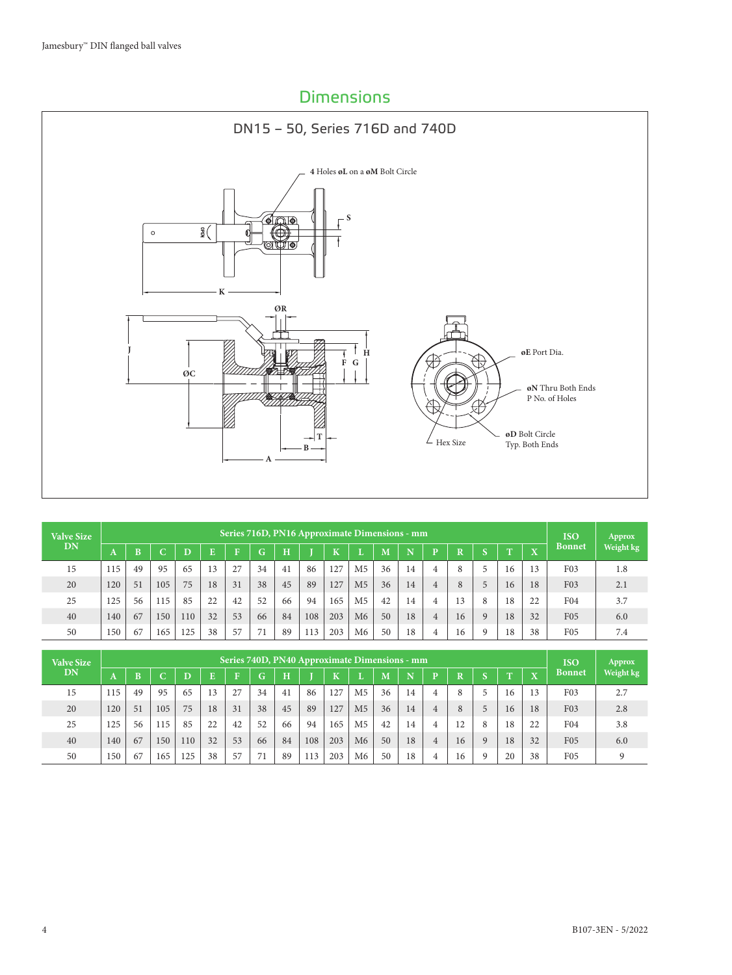## Dimensions



| <b>Valve Size</b> |     | Series 716D, PN16 Approximate Dimensions - mm |          |     |    |    |                  |                                                                                        |     |     |                |    |    |                |    |           | <b>ISO</b> | Approx |                  |     |
|-------------------|-----|-----------------------------------------------|----------|-----|----|----|------------------|----------------------------------------------------------------------------------------|-----|-----|----------------|----|----|----------------|----|-----------|------------|--------|------------------|-----|
| DN                | n   | ĸ                                             | ∽<br>. . | D   | E  | m  | G                | <b>Bonnet</b><br>H<br>$\overline{\mathbf{x}}$<br>K<br>N<br>D<br>M<br>R<br>m<br>m<br>., |     |     |                |    |    |                |    | Weight kg |            |        |                  |     |
| 15                | 115 | 49                                            | 95       | 65  | 13 | 27 | 34               | 41                                                                                     | 86  | 127 | M <sub>5</sub> | 36 | 14 | 4              | 8  |           | 16         | 13     | F <sub>0</sub> 3 | 1.8 |
| 20                | 120 | 51                                            | 105      | 75  | 18 | 31 | 38               | 45                                                                                     | 89  | 127 | M <sub>5</sub> | 36 | 14 | 4              | 8  |           | 16         | 18     | F <sub>0</sub> 3 | 2.1 |
| 25                | 125 | 56                                            | 115      | 85  | 22 | 42 | 52               | 66                                                                                     | 94  | 165 | M <sub>5</sub> | 42 | 14 | 4              | 13 | 8         | 18         | 22     | F <sub>04</sub>  | 3.7 |
| 40                | 140 | 67                                            | 150      | 110 | 32 | 53 | 66               | 84                                                                                     | 108 | 203 | M <sub>6</sub> | 50 | 18 | $\overline{4}$ | 16 | 9         | 18         | 32     | F <sub>05</sub>  | 6.0 |
| 50                | 150 | 67                                            | 165      | 25  | 38 | 57 | 71<br>$\prime$ 1 | 89                                                                                     | 113 | 203 | M6             | 50 | 18 | 4              | 16 | $\Omega$  | 18         | 38     | F05              | 7.4 |

| <b>Valve Size</b> |     | Series 740D, PN40 Approximate Dimensions - mm |         |     |    |              |    |         |     |         |                |    |    |   |             |            | <b>ISO</b> | Approx                  |                  |           |
|-------------------|-----|-----------------------------------------------|---------|-----|----|--------------|----|---------|-----|---------|----------------|----|----|---|-------------|------------|------------|-------------------------|------------------|-----------|
| DN                | A   | R                                             | -<br>U. | D   | Ē  | $\mathbf{E}$ | G  | $\bf H$ |     | $\bf K$ |                | M  | N  | D | $\mathbf R$ | $\sqrt{2}$ | m          | $\overline{\mathbf{x}}$ | <b>Bonnet</b>    | Weight kg |
| 15                | 115 | 49                                            | 95      | 65  | 13 | 27           | 34 | 41      | 86  | 127     | M <sub>5</sub> | 36 | 14 | 4 | 8           |            | 16         | 13                      | F <sub>0</sub> 3 | 2.7       |
| 20                | 120 | 51                                            | 105     | 75  | 18 | 31           | 38 | 45      | 89  | 127     | M <sub>5</sub> | 36 | 14 | 4 | 8           | 5          | 16         | 18                      | F <sub>03</sub>  | 2.8       |
| 25                | 125 | 56                                            | 115     | 85  | 22 | 42           | 52 | 66      | 94  | 165     | M <sub>5</sub> | 42 | 14 | 4 |             | 8          | 18         | 22                      | F <sub>04</sub>  | 3.8       |
| 40                | 140 | 67                                            | 150     | 110 | 32 | 53           | 66 | 84      | 108 | 203     | M <sub>6</sub> | 50 | 18 | 4 | 16          | 9          | 18         | 32                      | F <sub>05</sub>  | 6.0       |
| 50                | 150 | 67                                            | 165     | 125 | 38 | 57           |    | 89      | 113 | 203     | M6             | 50 | 18 | 4 | 16          | $\Omega$   | 20         | 38                      | F <sub>05</sub>  | $\Omega$  |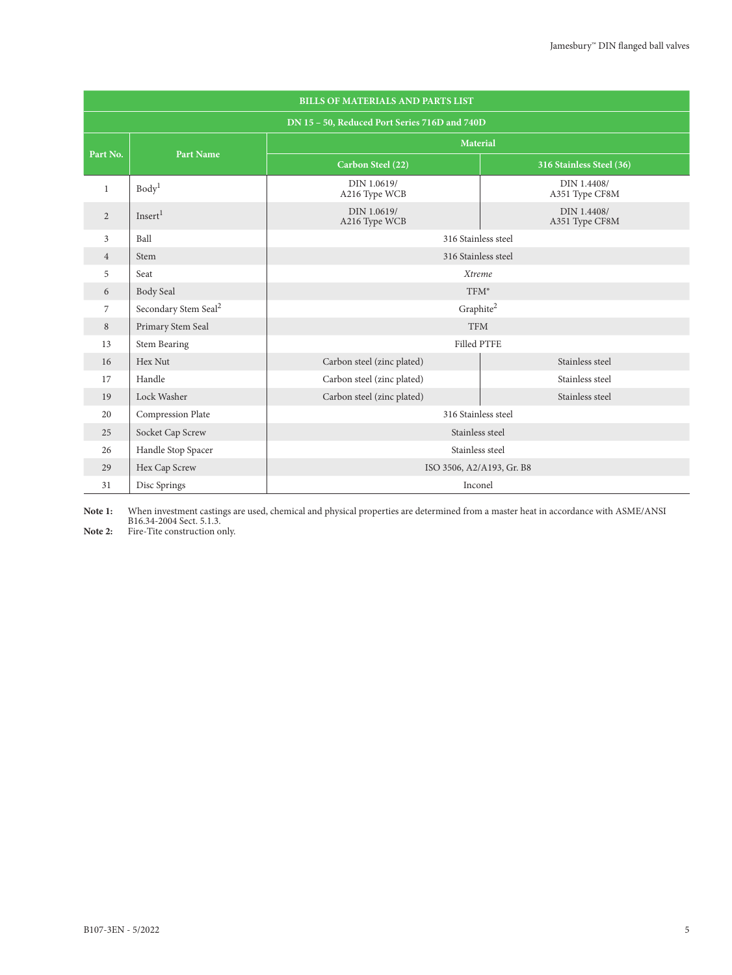|                | <b>BILLS OF MATERIALS AND PARTS LIST</b> |                                               |                               |  |  |  |  |  |  |  |  |
|----------------|------------------------------------------|-----------------------------------------------|-------------------------------|--|--|--|--|--|--|--|--|
|                |                                          | DN 15 - 50, Reduced Port Series 716D and 740D |                               |  |  |  |  |  |  |  |  |
| Part No.       | <b>Part Name</b>                         |                                               | <b>Material</b>               |  |  |  |  |  |  |  |  |
|                |                                          | Carbon Steel (22)                             | 316 Stainless Steel (36)      |  |  |  |  |  |  |  |  |
| $\mathbf{1}$   | Body <sup>1</sup>                        | DIN 1.0619/<br>A216 Type WCB                  | DIN 1.4408/<br>A351 Type CF8M |  |  |  |  |  |  |  |  |
| $\overline{2}$ | Insert <sup>1</sup>                      | DIN 1.0619/<br>A216 Type WCB                  | DIN 1.4408/<br>A351 Type CF8M |  |  |  |  |  |  |  |  |
| 3              | Ball                                     | 316 Stainless steel                           |                               |  |  |  |  |  |  |  |  |
| $\overline{4}$ | Stem                                     | 316 Stainless steel                           |                               |  |  |  |  |  |  |  |  |
| 5              | Seat                                     | Xtreme                                        |                               |  |  |  |  |  |  |  |  |
| 6              | Body Seal                                | TFM <sup>®</sup>                              |                               |  |  |  |  |  |  |  |  |
| 7              | Secondary Stem Seal <sup>2</sup>         |                                               | Graphite <sup>2</sup>         |  |  |  |  |  |  |  |  |
| 8              | Primary Stem Seal                        | <b>TFM</b>                                    |                               |  |  |  |  |  |  |  |  |
| 13             | <b>Stem Bearing</b>                      | <b>Filled PTFE</b>                            |                               |  |  |  |  |  |  |  |  |
| 16             | Hex Nut                                  | Carbon steel (zinc plated)                    | Stainless steel               |  |  |  |  |  |  |  |  |
| 17             | Handle                                   | Carbon steel (zinc plated)                    | Stainless steel               |  |  |  |  |  |  |  |  |
| 19             | Lock Washer                              | Carbon steel (zinc plated)                    | Stainless steel               |  |  |  |  |  |  |  |  |
| 20             | Compression Plate                        | 316 Stainless steel                           |                               |  |  |  |  |  |  |  |  |
| 25             | Socket Cap Screw                         |                                               | Stainless steel               |  |  |  |  |  |  |  |  |
| 26             | Handle Stop Spacer                       | Stainless steel                               |                               |  |  |  |  |  |  |  |  |
| 29             | Hex Cap Screw                            | ISO 3506, A2/A193, Gr. B8                     |                               |  |  |  |  |  |  |  |  |
| 31             | Disc Springs                             | Inconel                                       |                               |  |  |  |  |  |  |  |  |

**Note 1:** When investment castings are used, chemical and physical properties are determined from a master heat in accordance with ASME/ANSI B16.34-2004 Sect. 5.1.3.<br>**Note 2:** Fire-Tite construction only.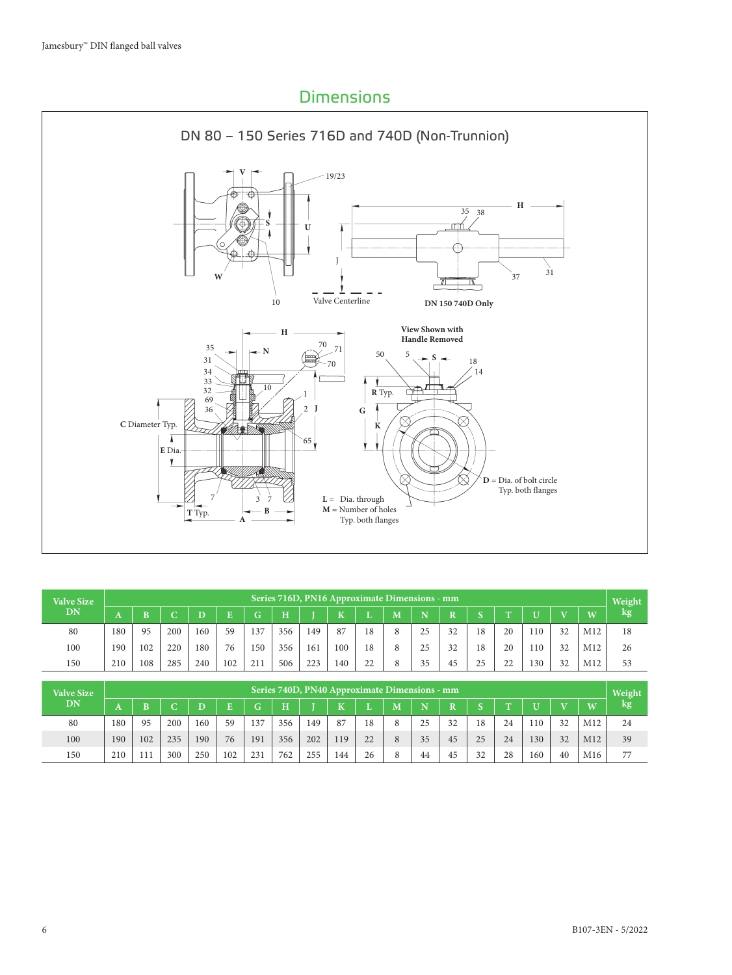## Dimensions



| <b>Valve Size</b> |     |     |     |     |     |     |         |     | Series 716D, PN16 Approximate Dimensions - mm |    |                         |    |                       |            |              |     |                         |                 | Weight |
|-------------------|-----|-----|-----|-----|-----|-----|---------|-----|-----------------------------------------------|----|-------------------------|----|-----------------------|------------|--------------|-----|-------------------------|-----------------|--------|
| <b>DN</b>         | A   |     |     |     |     | Gʻ  | $\bf H$ |     | TZ                                            |    | $\overline{\mathbf{M}}$ |    | $\overline{\text{R}}$ | $\sqrt{2}$ | $\mathbf{r}$ |     | $\overline{\mathbf{r}}$ | W               | kg'    |
| 80                | 180 | 95  | 200 | 160 | 59  | 137 | 356     | 149 | 87                                            | 18 | 8                       | 25 | 32                    | 18         | 20           | 110 | 32                      | M12             | 18     |
| 100               | 190 | 102 | 220 | 180 | 76  | 150 | 356     | 161 | 100                                           | 18 | 8                       | 25 | 32                    | 18         | 20           | 110 | 32                      | M <sub>12</sub> | 26     |
| 150               | 210 | 108 | 285 | 240 | 102 | 211 | 506     | 223 | 140                                           | 22 |                         | 35 | 45                    | 25         | 22           | 130 | 32                      | M12             | 53     |

| <b>Valve Size</b> | Series 740D, PN40 Approximate Dimensions - mm |     |     |     |     |     |     |     |     |    |                         |    |                       |            |                | Weight |              |                 |     |
|-------------------|-----------------------------------------------|-----|-----|-----|-----|-----|-----|-----|-----|----|-------------------------|----|-----------------------|------------|----------------|--------|--------------|-----------------|-----|
| <b>DN</b>         | A                                             |     |     |     |     | Gʻ  | H   |     | TZ  |    | $\overline{\mathbf{M}}$ |    | $\overline{\text{R}}$ | $\sqrt{2}$ | $\overline{ }$ |        | $\mathbf{V}$ | W               | kg. |
| 80                | 180                                           | 95  | 200 | 160 | 59  | 137 | 356 | 149 | 87  | 18 | 8                       | 25 | 32                    | 18         | 24             | 110    | 32           | M12             | 24  |
| 100               | 190                                           | 102 | 235 | 190 | 76  | 191 | 356 | 202 | 119 | 22 |                         | 35 | 45                    | 25         | 24             | 130    | 32           | M12             | 39  |
| 150               | 210                                           | 111 | 300 | 250 | 102 | 231 | 762 | 255 | 144 | 26 | 8                       | 44 | 45                    | 32         | 28             | 160    | 40           | M <sub>16</sub> | 77  |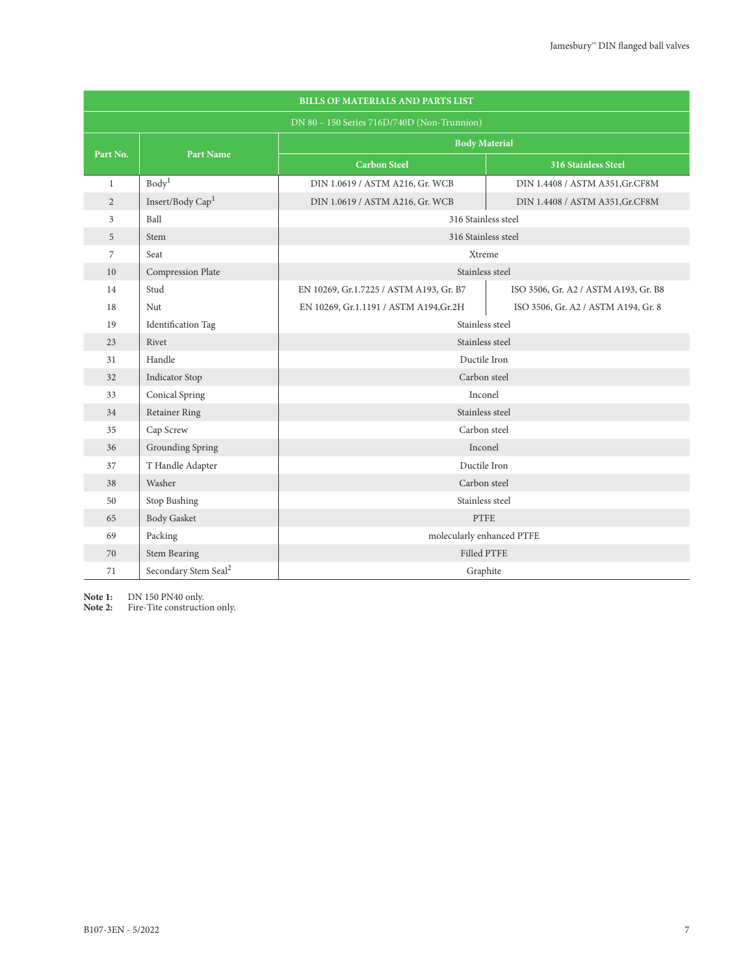|                | <b>BILLS OF MATERIALS AND PARTS LIST</b> |                                             |                                      |  |  |  |  |  |  |  |  |
|----------------|------------------------------------------|---------------------------------------------|--------------------------------------|--|--|--|--|--|--|--|--|
|                |                                          | DN 80 - 150 Series 716D/740D (Non-Trunnion) |                                      |  |  |  |  |  |  |  |  |
|                |                                          | <b>Body Material</b>                        |                                      |  |  |  |  |  |  |  |  |
| Part No.       | <b>Part Name</b>                         | <b>Carbon Steel</b>                         | 316 Stainless Steel                  |  |  |  |  |  |  |  |  |
| $\mathbf{1}$   | Body <sup>1</sup>                        | DIN 1.0619 / ASTM A216, Gr. WCB             | DIN 1.4408 / ASTM A351, Gr. CF8M     |  |  |  |  |  |  |  |  |
| 2              | Insert/Body Cap <sup>1</sup>             | DIN 1.0619 / ASTM A216, Gr. WCB             | DIN 1.4408 / ASTM A351, Gr. CF8M     |  |  |  |  |  |  |  |  |
| 3              | Ball                                     | 316 Stainless steel                         |                                      |  |  |  |  |  |  |  |  |
| 5              | Stem                                     | 316 Stainless steel                         |                                      |  |  |  |  |  |  |  |  |
| $\overline{7}$ | Seat                                     | Xtreme                                      |                                      |  |  |  |  |  |  |  |  |
| 10             | Compression Plate                        | Stainless steel                             |                                      |  |  |  |  |  |  |  |  |
| 14             | Stud                                     | EN 10269, Gr.1.7225 / ASTM A193, Gr. B7     | ISO 3506, Gr. A2 / ASTM A193, Gr. B8 |  |  |  |  |  |  |  |  |
| 18             | Nut                                      | EN 10269, Gr.1.1191 / ASTM A194, Gr.2H      | ISO 3506, Gr. A2 / ASTM A194, Gr. 8  |  |  |  |  |  |  |  |  |
| 19             | <b>Identification Tag</b>                | Stainless steel                             |                                      |  |  |  |  |  |  |  |  |
| 23             | Rivet                                    | Stainless steel                             |                                      |  |  |  |  |  |  |  |  |
| 31             | Handle                                   | Ductile Iron                                |                                      |  |  |  |  |  |  |  |  |
| 32             | Indicator Stop                           | Carbon steel                                |                                      |  |  |  |  |  |  |  |  |
| 33             | Conical Spring                           | Inconel                                     |                                      |  |  |  |  |  |  |  |  |
| 34             | <b>Retainer Ring</b>                     | Stainless steel                             |                                      |  |  |  |  |  |  |  |  |
| 35             | Cap Screw                                | Carbon steel                                |                                      |  |  |  |  |  |  |  |  |
| 36             | <b>Grounding Spring</b>                  | Inconel                                     |                                      |  |  |  |  |  |  |  |  |
| 37             | T Handle Adapter                         | Ductile Iron                                |                                      |  |  |  |  |  |  |  |  |
| 38             | Washer                                   | Carbon steel                                |                                      |  |  |  |  |  |  |  |  |
| 50             | Stop Bushing                             | Stainless steel                             |                                      |  |  |  |  |  |  |  |  |
| 65             | <b>Body Gasket</b>                       | PTFE                                        |                                      |  |  |  |  |  |  |  |  |
| 69             | Packing                                  | molecularly enhanced PTFE                   |                                      |  |  |  |  |  |  |  |  |
| 70             | <b>Stem Bearing</b>                      | <b>Filled PTFE</b>                          |                                      |  |  |  |  |  |  |  |  |
| 71             | Secondary Stem Seal <sup>2</sup>         | Graphite                                    |                                      |  |  |  |  |  |  |  |  |

**Note 1:** DN 150 PN40 only.

**Note 2:** Fire-Tite construction only.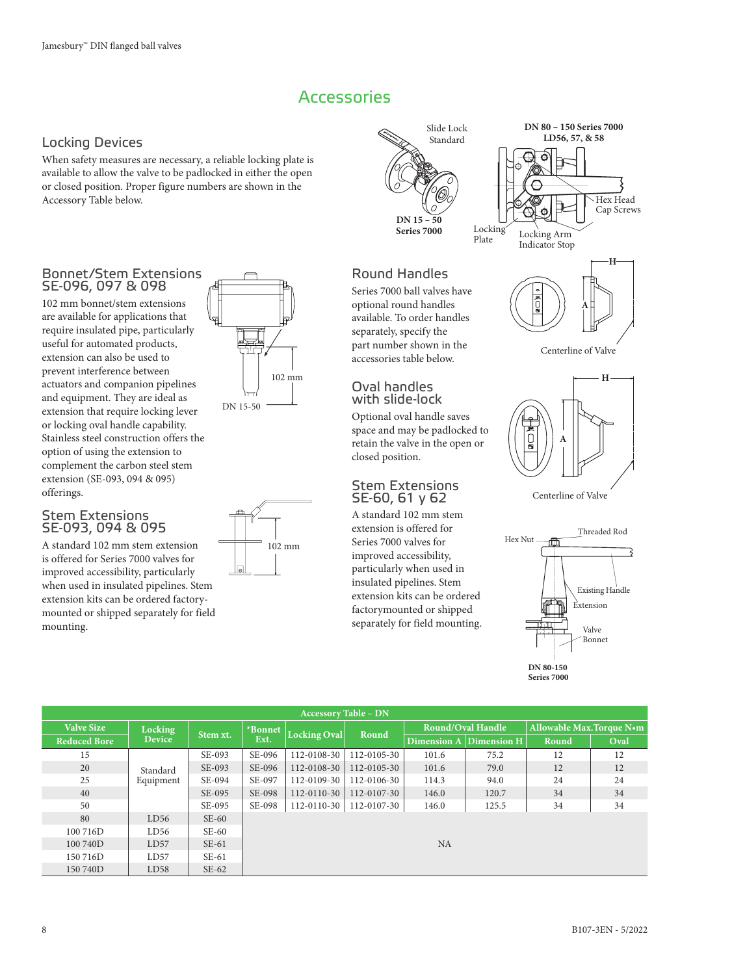## **Accessories**

## Locking Devices

When safety measures are necessary, a reliable locking plate is available to allow the valve to be padlocked in either the open or closed position. Proper figure numbers are shown in the Accessory Table below.

## Bonnet/Stem Extensions SE-096, 097 & 098

102 mm bonnet/stem extensions are available for applications that require insulated pipe, particularly useful for automated products, extension can also be used to prevent interference between actuators and companion pipelines and equipment. They are ideal as extension that require locking lever or locking oval handle capability. Stainless steel construction offers the option of using the extension to complement the carbon steel stem extension (SE-093, 094 & 095) offerings.

## Stem Extensions SE-093, 094 & 095

A standard 102 mm stem extension is offered for Series 7000 valves for improved accessibility, particularly when used in insulated pipelines. Stem extension kits can be ordered factorymounted or shipped separately for field mounting.



102 mm



# Round Handles

Series 7000 ball valves have optional round handles available. To order handles separately, specify the part number shown in the accessories table below.

## Oval handles with slide-lock

Optional oval handle saves space and may be padlocked to retain the valve in the open or closed position.

## Stem Extensions SE-60, 61 y 62

A standard 102 mm stem extension is offered for Series 7000 valves for improved accessibility, particularly when used in insulated pipelines. Stem extension kits can be ordered factorymounted or shipped separately for field mounting.



**DN 80 – 150 Series 7000 LD56, 57, & 58**

ਨੋ ⊆

Centerline of Valve



Centerline of Valve



**Series 7000**

|                     | <b>Accessory Table - DN</b> |          |         |                   |                   |           |                          |                           |      |  |  |  |
|---------------------|-----------------------------|----------|---------|-------------------|-------------------|-----------|--------------------------|---------------------------|------|--|--|--|
| <b>Valve Size</b>   | Locking                     | Stem xt. | *Bonnet | Locking Oval      | Round             |           | <b>Round/Oval Handle</b> | Allowable Max. Torque N•m |      |  |  |  |
| <b>Reduced Bore</b> | <b>Device</b>               |          | Ext.    |                   |                   |           | Dimension A Dimension H  | Round                     | Oval |  |  |  |
| 15                  |                             | SE-093   | SE-096  | 112-0108-30       | $112 - 0105 - 30$ | 101.6     | 75.2                     | 12                        | 12   |  |  |  |
| 20                  | Standard                    | SE-093   | SE-096  | 112-0108-30       | $112 - 0105 - 30$ | 101.6     | 79.0                     | 12                        | 12   |  |  |  |
| 25                  | Equipment                   | SE-094   | SE-097  | 112-0109-30       | 112-0106-30       | 114.3     | 94.0                     | 24                        | 24   |  |  |  |
| 40                  |                             | SE-095   | SE-098  | 112-0110-30       | 112-0107-30       | 146.0     | 120.7                    | 34                        | 34   |  |  |  |
| 50                  |                             | SE-095   | SE-098  | $112 - 0110 - 30$ | 112-0107-30       | 146.0     | 125.5                    | 34                        | 34   |  |  |  |
| 80                  | LD56                        | $SE-60$  |         |                   |                   |           |                          |                           |      |  |  |  |
| 100 716D            | LD56                        | $SE-60$  |         |                   |                   |           |                          |                           |      |  |  |  |
| 100 740D            | LD57                        | $SE-61$  |         |                   |                   | <b>NA</b> |                          |                           |      |  |  |  |
| 150 716D            | LD57                        | $SE-61$  |         |                   |                   |           |                          |                           |      |  |  |  |
| 150740D             | LD58                        | $SE-62$  |         |                   |                   |           |                          |                           |      |  |  |  |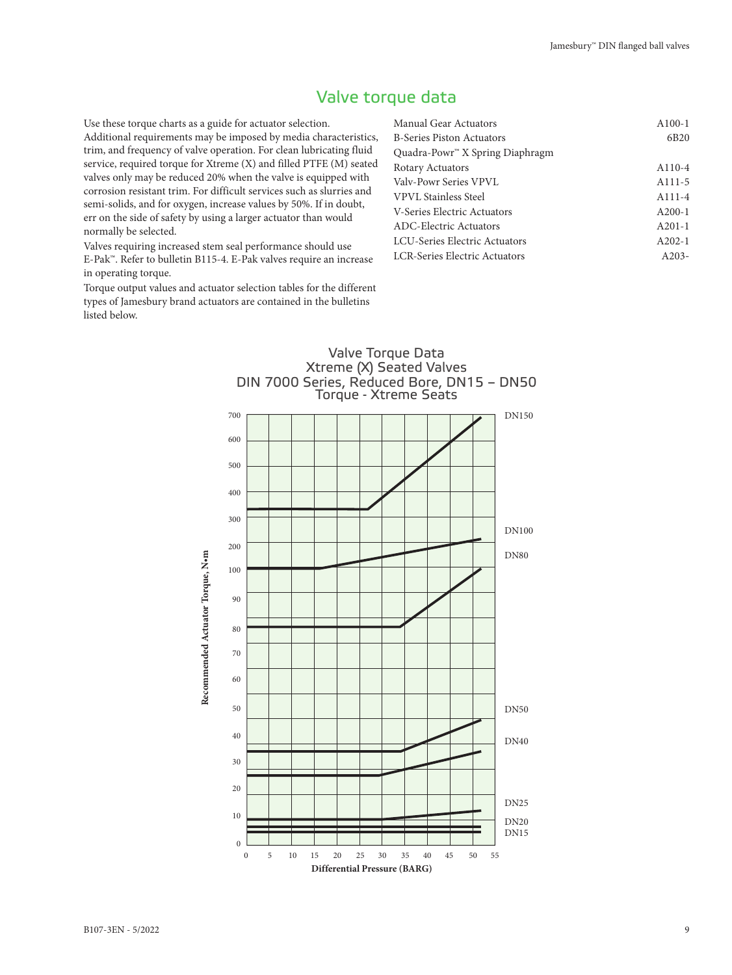## Valve torque data

Use these torque charts as a guide for actuator selection. Additional requirements may be imposed by media characteristics, trim, and frequency of valve operation. For clean lubricating fluid service, required torque for Xtreme (X) and filled PTFE (M) seated valves only may be reduced 20% when the valve is equipped with corrosion resistant trim. For difficult services such as slurries and semi-solids, and for oxygen, increase values by 50%. If in doubt, err on the side of safety by using a larger actuator than would normally be selected.

Valves requiring increased stem seal performance should use E-Pak™. Refer to bulletin B115-4. E-Pak valves require an increase in operating torque.

Torque output values and actuator selection tables for the different types of Jamesbury brand actuators are contained in the bulletins listed below.

| Manual Gear Actuators                       | $A100-1$            |
|---------------------------------------------|---------------------|
| <b>B-Series Piston Actuators</b>            | 6 <sub>B20</sub>    |
| Quadra-Powr <sup>"</sup> X Spring Diaphragm |                     |
| Rotary Actuators                            | $A110-4$            |
| Valy-Powr Series VPVL                       | A <sub>111</sub> -5 |
| VPVL Stainless Steel                        | $A111 - 4$          |
| V-Series Electric Actuators                 | $A200-1$            |
| ADC-Electric Actuators                      | $A201-1$            |
| LCU-Series Electric Actuators               | $A202-1$            |
| <b>LCR-Series Electric Actuators</b>        | $A203-$             |
|                                             |                     |

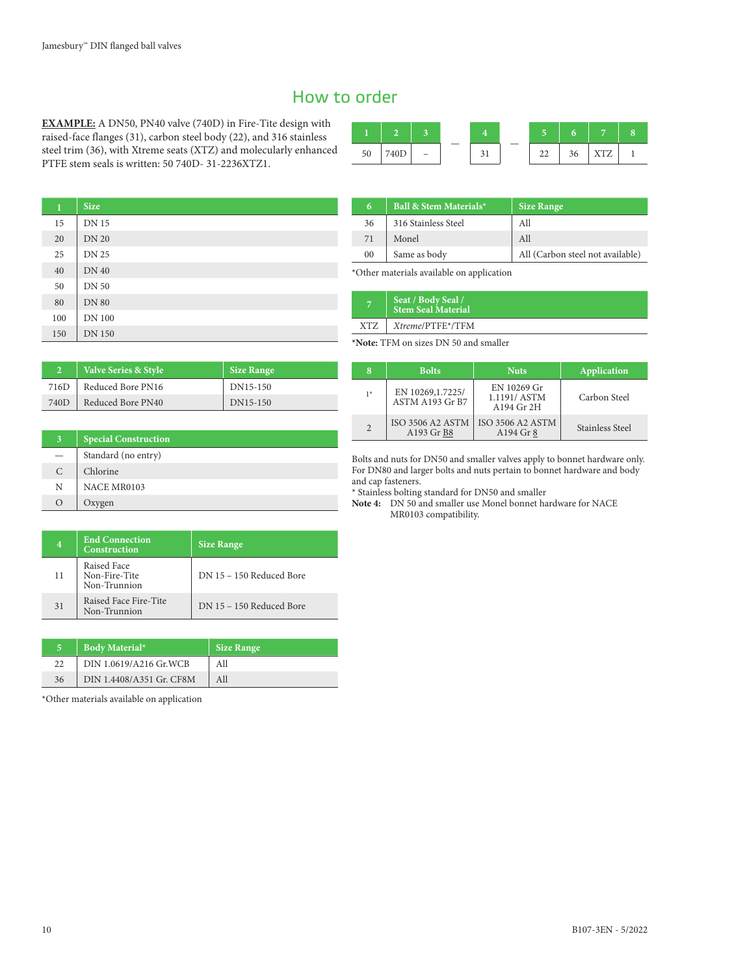## How to order

**EXAMPLE:** A DN50, PN40 valve (740D) in Fire-Tite design with raised-face flanges (31), carbon steel body (22), and 316 stainless steel trim (36), with Xtreme seats (XTZ) and molecularly enhanced PTFE stem seals is written: 50 740D- 31-2236XTZ1.

| -<br>50 | -⊥∪ — | $\overline{\phantom{a}}$ |  | $\sim$<br>-- | ◡ | ,,,,,,<br><b>ARA</b> |  |
|---------|-------|--------------------------|--|--------------|---|----------------------|--|

| $\bf{1}$ | <b>Size</b>   |
|----------|---------------|
| 15       | <b>DN 15</b>  |
| 20       | <b>DN 20</b>  |
| 25       | <b>DN 25</b>  |
| 40       | <b>DN 40</b>  |
| 50       | <b>DN 50</b>  |
| 80       | <b>DN 80</b>  |
| 100      | <b>DN 100</b> |
| 150      | <b>DN 150</b> |

| 6  | Ball & Stem Materials* | <b>Size Range</b>                |
|----|------------------------|----------------------------------|
| 36 | 316 Stainless Steel    | All                              |
| 71 | Monel                  | All                              |
| 00 | Same as body           | All (Carbon steel not available) |

\*Other materials available on application

|     | Seat / Body Seal /<br>Stem Seal Material |
|-----|------------------------------------------|
| XTZ | Xtreme/PTFE*/TFM                         |

**\*Note:** TFM on sizes DN 50 and smaller

| $\overline{2}$ | Valve Series & Style | <b>Size Range</b> |
|----------------|----------------------|-------------------|
| 716D           | Reduced Bore PN16    | DN15-150          |
| 740D           | Reduced Bore PN40    | DN15-150          |

| 8              | <b>Bolts</b>                          | <b>Nuts</b>                              | Application     |
|----------------|---------------------------------------|------------------------------------------|-----------------|
| $1*$           | EN 10269, 1.7225/<br>ASTM A193 Gr B7  | EN 10269 Gr<br>1.1191/ASTM<br>A194 Gr 2H | Carbon Steel    |
| $\overline{2}$ | <b>ISO 3506 A2 ASTM</b><br>A193 Gr B8 | <b>ISO 3506 A2 ASTM</b><br>A194 Gr 8     | Stainless Steel |

Bolts and nuts for DN50 and smaller valves apply to bonnet hardware only. For DN80 and larger bolts and nuts pertain to bonnet hardware and body and cap fasteners.

\* Stainless bolting standard for DN50 and smaller

**Note 4:** DN 50 and smaller use Monel bonnet hardware for NACE MR0103 compatibility.

| 4  | <b>End Connection</b><br><b>Construction</b> | <b>Size Range</b>        |
|----|----------------------------------------------|--------------------------|
| 11 | Raised Face<br>Non-Fire-Tite<br>Non-Trunnion | DN 15 - 150 Reduced Bore |
| 31 | Raised Face Fire-Tite<br>Non-Trunnion        | DN 15 - 150 Reduced Bore |

| к. | <b>Body Material*</b>    | <b>Size Range</b> |
|----|--------------------------|-------------------|
| 22 | DIN 1.0619/A216 Gr.WCB   | All               |
| 36 | DIN 1.4408/A351 Gr. CF8M | All               |

\*Other materials available on application

**3 Special Construction** Standard (no entry)

C | Chlorine N | NACE MR0103 O Oxygen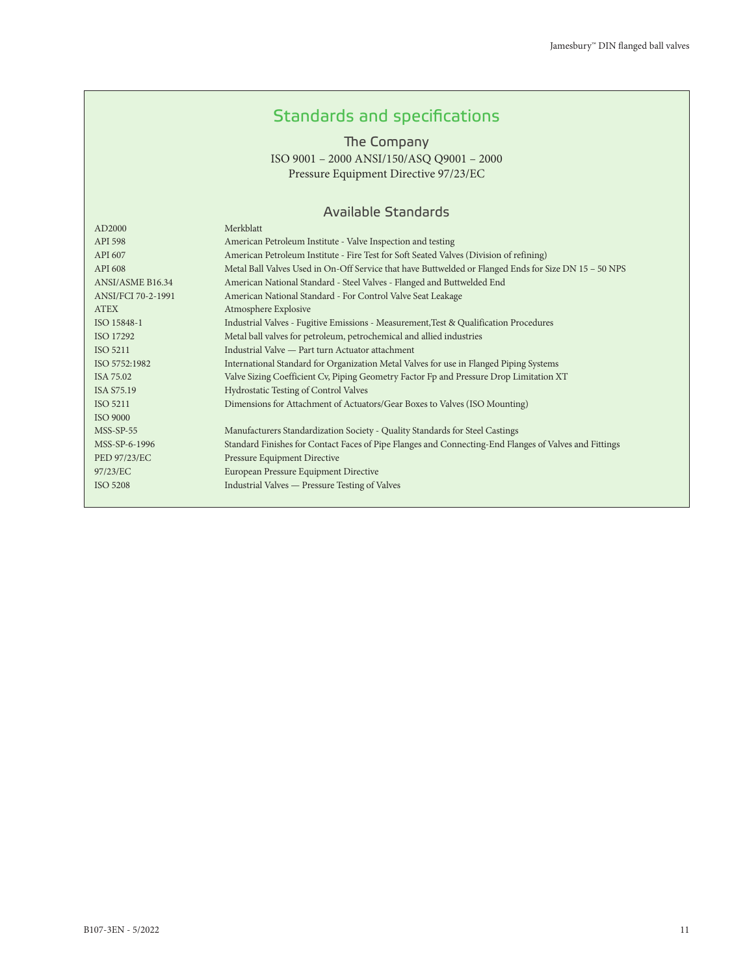# Standards and specifications

The Company

ISO 9001 – 2000 ANSI/150/ASQ Q9001 – 2000 Pressure Equipment Directive 97/23/EC

## Available Standards

| AD2000             | Merkblatt                                                                                             |
|--------------------|-------------------------------------------------------------------------------------------------------|
| API 598            | American Petroleum Institute - Valve Inspection and testing                                           |
| API 607            | American Petroleum Institute - Fire Test for Soft Seated Valves (Division of refining)                |
| API 608            | Metal Ball Valves Used in On-Off Service that have Buttwelded or Flanged Ends for Size DN 15 - 50 NPS |
| ANSI/ASME B16.34   | American National Standard - Steel Valves - Flanged and Buttwelded End                                |
| ANSI/FCI 70-2-1991 | American National Standard - For Control Valve Seat Leakage                                           |
| <b>ATEX</b>        | Atmosphere Explosive                                                                                  |
| ISO 15848-1        | Industrial Valves - Fugitive Emissions - Measurement, Test & Qualification Procedures                 |
| ISO 17292          | Metal ball valves for petroleum, petrochemical and allied industries                                  |
| ISO 5211           | Industrial Valve — Part turn Actuator attachment                                                      |
| ISO 5752:1982      | International Standard for Organization Metal Valves for use in Flanged Piping Systems                |
| ISA 75.02          | Valve Sizing Coefficient Cv, Piping Geometry Factor Fp and Pressure Drop Limitation XT                |
| ISA \$75.19        | Hydrostatic Testing of Control Valves                                                                 |
| ISO 5211           | Dimensions for Attachment of Actuators/Gear Boxes to Valves (ISO Mounting)                            |
| <b>ISO 9000</b>    |                                                                                                       |
| $MSS-SP-55$        | Manufacturers Standardization Society - Quality Standards for Steel Castings                          |
| MSS-SP-6-1996      | Standard Finishes for Contact Faces of Pipe Flanges and Connecting-End Flanges of Valves and Fittings |
| PED 97/23/EC       | <b>Pressure Equipment Directive</b>                                                                   |
| 97/23/EC           | European Pressure Equipment Directive                                                                 |
| ISO 5208           | Industrial Valves — Pressure Testing of Valves                                                        |
|                    |                                                                                                       |